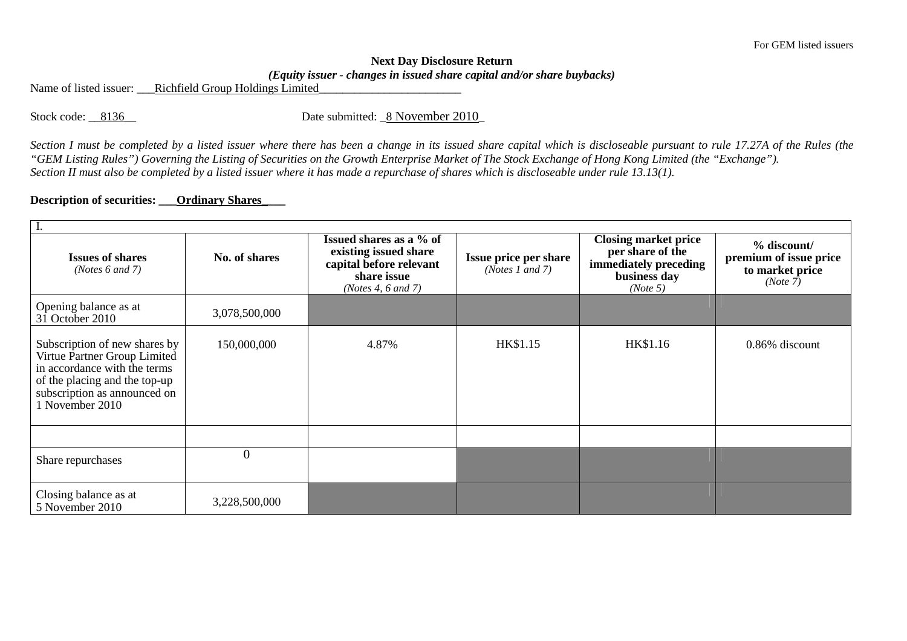## **Next Day Disclosure Return** *(Equity issuer - changes in issued share capital and/or share buybacks)*

Name of listed issuer: <br>Richfield Group Holdings Limited

Stock code: \_\_8136\_\_ Date submitted: \_8 November 2010\_

*Section I must be completed by a listed issuer where there has been a change in its issued share capital which is discloseable pursuant to rule 17.27A of the Rules (the "GEM Listing Rules") Governing the Listing of Securities on the Growth Enterprise Market of The Stock Exchange of Hong Kong Limited (the "Exchange"). Section II must also be completed by a listed issuer where it has made a repurchase of shares which is discloseable under rule 13.13(1).* 

## **Description of securities: \_\_\_Ordinary Shares\_\_\_\_**

| ı.                                                                                                                                                                                |                |                                                                                                                       |                                                 |                                                                                                      |                                                                      |  |  |  |  |
|-----------------------------------------------------------------------------------------------------------------------------------------------------------------------------------|----------------|-----------------------------------------------------------------------------------------------------------------------|-------------------------------------------------|------------------------------------------------------------------------------------------------------|----------------------------------------------------------------------|--|--|--|--|
| <b>Issues of shares</b><br>( <i>Notes</i> $6$ and $7$ )                                                                                                                           | No. of shares  | Issued shares as a % of<br>existing issued share<br>capital before relevant<br>share issue<br>(Notes 4, $6$ and $7$ ) | <b>Issue price per share</b><br>(Notes 1 and 7) | <b>Closing market price</b><br>per share of the<br>immediately preceding<br>business day<br>(Note 5) | % discount/<br>premium of issue price<br>to market price<br>(Note 7) |  |  |  |  |
| Opening balance as at<br>31 October 2010                                                                                                                                          | 3,078,500,000  |                                                                                                                       |                                                 |                                                                                                      |                                                                      |  |  |  |  |
| Subscription of new shares by<br>Virtue Partner Group Limited<br>in accordance with the terms<br>of the placing and the top-up<br>subscription as announced on<br>1 November 2010 | 150,000,000    | 4.87%                                                                                                                 | HK\$1.15                                        | HK\$1.16                                                                                             | 0.86% discount                                                       |  |  |  |  |
|                                                                                                                                                                                   |                |                                                                                                                       |                                                 |                                                                                                      |                                                                      |  |  |  |  |
| Share repurchases                                                                                                                                                                 | $\overline{0}$ |                                                                                                                       |                                                 |                                                                                                      |                                                                      |  |  |  |  |
| Closing balance as at<br>5 November 2010                                                                                                                                          | 3,228,500,000  |                                                                                                                       |                                                 |                                                                                                      |                                                                      |  |  |  |  |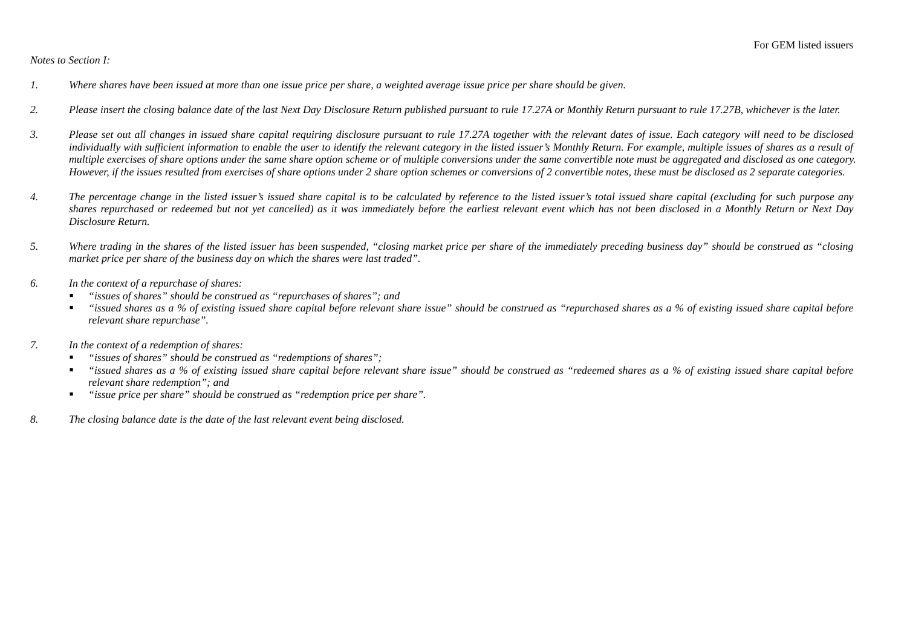## *Notes to Section I:*

- *1. Where shares have been issued at more than one issue price per share, a weighted average issue price per share should be given.*
- *2. Please insert the closing balance date of the last Next Day Disclosure Return published pursuant to rule 17.27A or Monthly Return pursuant to rule 17.27B, whichever is the later.*
- *3. Please set out all changes in issued share capital requiring disclosure pursuant to rule 17.27A together with the relevant dates of issue. Each category will need to be disclosed individually with sufficient information to enable the user to identify the relevant category in the listed issuer's Monthly Return. For example, multiple issues of shares as a result of multiple exercises of share options under the same share option scheme or of multiple conversions under the same convertible note must be aggregated and disclosed as one category. However, if the issues resulted from exercises of share options under 2 share option schemes or conversions of 2 convertible notes, these must be disclosed as 2 separate categories.*
- *4. The percentage change in the listed issuer's issued share capital is to be calculated by reference to the listed issuer's total issued share capital (excluding for such purpose any shares repurchased or redeemed but not yet cancelled) as it was immediately before the earliest relevant event which has not been disclosed in a Monthly Return or Next Day Disclosure Return.*
- *5. Where trading in the shares of the listed issuer has been suspended, "closing market price per share of the immediately preceding business day" should be construed as "closing market price per share of the business day on which the shares were last traded".*
- *6. In the context of a repurchase of shares:* 
	- *"issues of shares" should be construed as "repurchases of shares"; and*
	- *"issued shares as a % of existing issued share capital before relevant share issue" should be construed as "repurchased shares as a % of existing issued share capital before relevant share repurchase".*
- *7. In the context of a redemption of shares:* 
	- *"issues of shares" should be construed as "redemptions of shares";*   $\blacksquare$
	- *"issued shares as a % of existing issued share capital before relevant share issue" should be construed as "redeemed shares as a % of existing issued share capital before relevant share redemption"; and*
	- *"issue price per share" should be construed as "redemption price per share".*   $\blacksquare$
- *8. The closing balance date is the date of the last relevant event being disclosed.*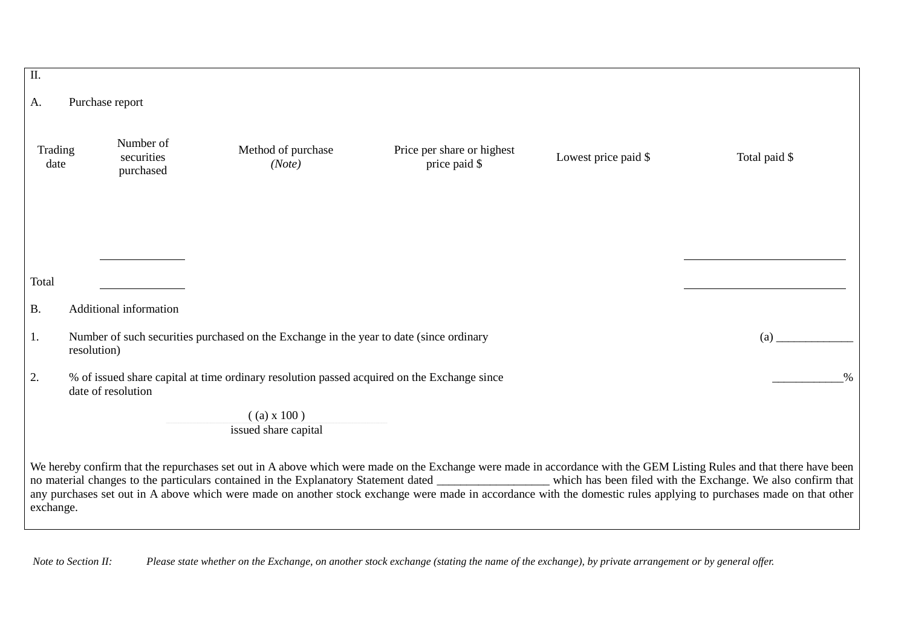| $\overline{\mathbf{II}}$ .                                                                                          |  |                                      |                                                                                                                                                                                                                                                                                                                                                                                                                                                                                                                  |                                             |                      |               |  |  |
|---------------------------------------------------------------------------------------------------------------------|--|--------------------------------------|------------------------------------------------------------------------------------------------------------------------------------------------------------------------------------------------------------------------------------------------------------------------------------------------------------------------------------------------------------------------------------------------------------------------------------------------------------------------------------------------------------------|---------------------------------------------|----------------------|---------------|--|--|
| Purchase report<br>Α.                                                                                               |  |                                      |                                                                                                                                                                                                                                                                                                                                                                                                                                                                                                                  |                                             |                      |               |  |  |
|                                                                                                                     |  |                                      |                                                                                                                                                                                                                                                                                                                                                                                                                                                                                                                  |                                             |                      |               |  |  |
| Trading<br>date                                                                                                     |  | Number of<br>securities<br>purchased | Method of purchase<br>(Note)                                                                                                                                                                                                                                                                                                                                                                                                                                                                                     | Price per share or highest<br>price paid \$ | Lowest price paid \$ | Total paid \$ |  |  |
|                                                                                                                     |  |                                      |                                                                                                                                                                                                                                                                                                                                                                                                                                                                                                                  |                                             |                      |               |  |  |
| Total                                                                                                               |  |                                      |                                                                                                                                                                                                                                                                                                                                                                                                                                                                                                                  |                                             |                      |               |  |  |
| <b>B.</b>                                                                                                           |  | Additional information               |                                                                                                                                                                                                                                                                                                                                                                                                                                                                                                                  |                                             |                      |               |  |  |
| Number of such securities purchased on the Exchange in the year to date (since ordinary<br>1.<br>(a)<br>resolution) |  |                                      |                                                                                                                                                                                                                                                                                                                                                                                                                                                                                                                  |                                             |                      |               |  |  |
| 2.                                                                                                                  |  | date of resolution                   | % of issued share capital at time ordinary resolution passed acquired on the Exchange since                                                                                                                                                                                                                                                                                                                                                                                                                      |                                             |                      | $\%$          |  |  |
|                                                                                                                     |  |                                      | $($ (a) x 100)<br>issued share capital                                                                                                                                                                                                                                                                                                                                                                                                                                                                           |                                             |                      |               |  |  |
| exchange.                                                                                                           |  |                                      | We hereby confirm that the repurchases set out in A above which were made on the Exchange were made in accordance with the GEM Listing Rules and that there have been<br>no material changes to the particulars contained in the Explanatory Statement dated _______________ which has been filed with the Exchange. We also confirm that<br>any purchases set out in A above which were made on another stock exchange were made in accordance with the domestic rules applying to purchases made on that other |                                             |                      |               |  |  |

 *Note to Section II: Please state whether on the Exchange, on another stock exchange (stating the name of the exchange), by private arrangement or by general offer.*